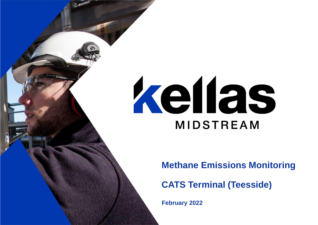# kellas **MIDSTREAM**

**Methane Emissions Monitoring**

**CATS Terminal (Teesside)**

**February 2022**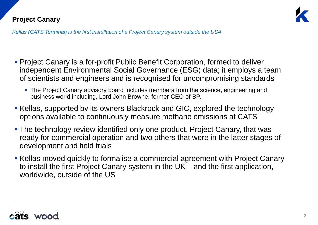

*Kellas (CATS Terminal) is the first installation of a Project Canary system outside the USA*

- **Project Canary is a for-profit Public Benefit Corporation, formed to deliver** independent Environmental Social Governance (ESG) data; it employs a team of scientists and engineers and is recognised for uncompromising standards
	- **The Project Canary advisory board includes members from the science, engineering and** business world including, Lord John Browne, former CEO of BP.
- **EXELDENS**, supported by its owners Blackrock and GIC, explored the technology options available to continuously measure methane emissions at CATS
- **The technology review identified only one product, Project Canary, that was** ready for commercial operation and two others that were in the latter stages of development and field trials
- **EXELLAS MOVED quickly to formalise a commercial agreement with Project Canary** to install the first Project Canary system in the UK – and the first application, worldwide, outside of the US

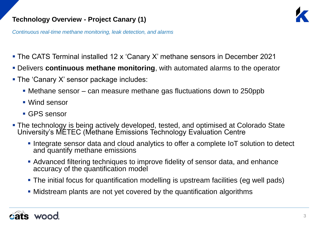

*Continuous real-time methane monitoring, leak detection, and alarms*

- The CATS Terminal installed 12 x 'Canary X' methane sensors in December 2021
- Delivers **continuous methane monitoring**, with automated alarms to the operator
- The 'Canary X' sensor package includes:
	- Methane sensor can measure methane gas fluctuations down to 250ppb
	- Wind sensor
	- GPS sensor
- **The technology is being actively developed, tested, and optimised at Colorado State** University's METEC (Methane Emissions Technology Evaluation Centre
	- **.** Integrate sensor data and cloud analytics to offer a complete IoT solution to detect and quantify methane emissions
	- Advanced filtering techniques to improve fidelity of sensor data, and enhance accuracy of the quantification model
	- The initial focus for quantification modelling is upstream facilities (eg well pads)
	- Midstream plants are not yet covered by the quantification algorithms

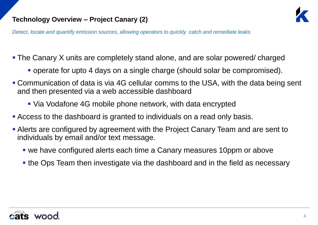

*Detect, locate and quantify emission sources, allowing operators to quickly catch and remediate leaks*

- The Canary X units are completely stand alone, and are solar powered/ charged
	- operate for upto 4 days on a single charge (should solar be compromised).
- Communication of data is via 4G cellular comms to the USA, with the data being sent and then presented via a web accessible dashboard
	- Via Vodafone 4G mobile phone network, with data encrypted
- **Access to the dashboard is granted to individuals on a read only basis.**
- **Alerts are configured by agreement with the Project Canary Team and are sent to** individuals by email and/or text message.
	- we have configured alerts each time a Canary measures 10ppm or above
	- the Ops Team then investigate via the dashboard and in the field as necessary

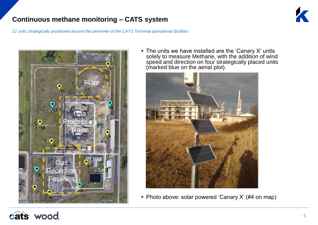# **Continuous methane monitoring – CATS system**

*12 units strategically positioned around the perimeter of the CATS Terminal operational facilities*



 $\blacksquare$  The units we have installed are the 'Canary X' units solely to measure Methane, with the addition of wind speed and direction on four strategically placed units (marked blue on the aerial plot).



■ Photo above: solar powered 'Canary X' (#4 on map)

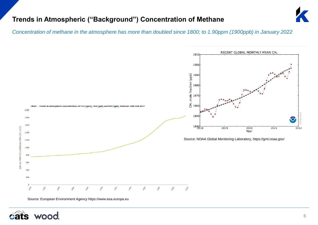## **Trends in Atmospheric ("Background") Concentration of Methane**



*Concentration of methane in the atmosphere has more than doubled since 1800; to 1.90ppm (1900ppb) in January 2022*



Source: European Environment Agency https://www.eea.europa.eu

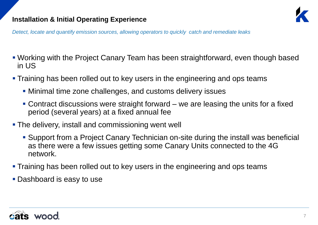## **Installation & Initial Operating Experience**



*Detect, locate and quantify emission sources, allowing operators to quickly catch and remediate leaks*

- Working with the Project Canary Team has been straightforward, even though based in US
- **Training has been rolled out to key users in the engineering and ops teams** 
	- Minimal time zone challenges, and customs delivery issues
	- Contract discussions were straight forward we are leasing the units for a fixed period (several years) at a fixed annual fee
- **The delivery, install and commissioning went well** 
	- Support from a Project Canary Technician on-site during the install was beneficial as there were a few issues getting some Canary Units connected to the 4G network.
- **Training has been rolled out to key users in the engineering and ops teams**
- **Dashboard is easy to use**

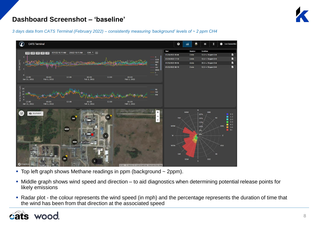

#### **Dashboard Screenshot – 'baseline'**

*3 days data from CATS Terminal (February 2022) – consistently measuring 'background' levels of ~ 2 ppm CH4*



- **Top left graph shows Methane readings in ppm (background**  $\sim$  **2ppm).**
- Middle graph shows wind speed and direction to aid diagnostics when determining potential release points for likely emissions
- Radar plot the colour represents the wind speed (in mph) and the percentage represents the duration of time that the wind has been from that direction at the associated speed